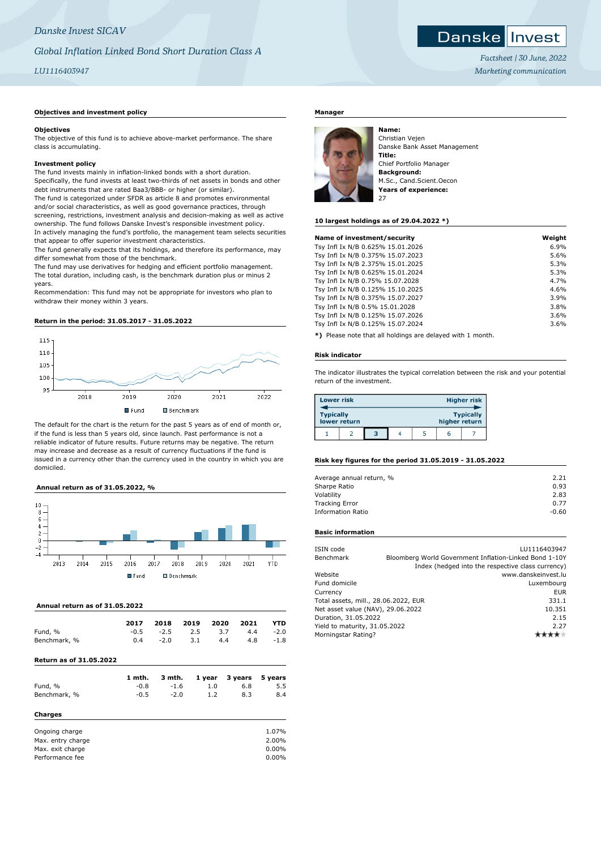# *Danske Invest SICAV*

# *Global Inflation Linked Bond Short Duration Class A*

# *LU1116403947*

# **Objectives and investment policy**

#### **Objectives**

The objective of this fund is to achieve above-market performance. The share class is accumulating.

#### **Investment policy**

The fund invests mainly in inflation-linked bonds with a short duration. Specifically, the fund invests at least two-thirds of net assets in bonds and other debt instruments that are rated Baa3/BBB- or higher (or similar). The fund is categorized under SFDR as article 8 and promotes environmental and/or social characteristics, as well as good governance practices, through screening, restrictions, investment analysis and decision-making as well as active ownership. The fund follows Danske Invest's responsible investment policy. In actively managing the fund's portfolio, the management team selects securities that appear to offer superior investment characteristics.

The fund generally expects that its holdings, and therefore its performance, may differ somewhat from those of the benchmark.

The fund may use derivatives for hedging and efficient portfolio management. The total duration, including cash, is the benchmark duration plus or minus 2 years.

Recommendation: This fund may not be appropriate for investors who plan to withdraw their money within 3 years.

#### **Return in the period: 31.05.2017 - 31.05.2022**



The default for the chart is the return for the past 5 years as of end of month or, if the fund is less than 5 years old, since launch. Past performance is not a reliable indicator of future results. Future returns may be negative. The return may increase and decrease as a result of currency fluctuations if the fund is issued in a currency other than the currency used in the country in which you are domiciled.

# **Annual return as of 31.05.2022, %**



#### **Annual return as of 31.05.2022**

|              | 2017 |        | 2018 2019 2020 2021       |     | <b>YTD</b>  |
|--------------|------|--------|---------------------------|-----|-------------|
| Fund, %      |      |        | $-0.5$ $-2.5$ $2.5$ $3.7$ |     | 4.4 -2.0    |
| Benchmark, % | 0.4  | $-2.0$ | 3.1                       | 4.4 | $4.8 - 1.8$ |

# **Return as of 31.05.2022**

|              | 1 mth. |        |     | 3 mth. 1 year 3 years 5 years |     |
|--------------|--------|--------|-----|-------------------------------|-----|
| Fund, %      | $-0.8$ | $-1.6$ | 1.0 | 6.8                           | 5.5 |
|              |        |        |     |                               |     |
| Benchmark, % | $-0.5$ | $-2.0$ | 1.2 | 8.3                           | 8.4 |
|              |        |        |     |                               |     |
| Charges      |        |        |     |                               |     |

| Ongoing charge    | 1.07%    |
|-------------------|----------|
| Max. entry charge | 2.00%    |
| Max. exit charge  | $0.00\%$ |
| Performance fee   | $0.00\%$ |

# **Manager**



Christian Vejen Danske Bank Asset Management **Title:** Chief Portfolio Manager **Background:** M.Sc., Cand.Scient.Oecon **Years of experience:**

#### **10 largest holdings as of 29.04.2022 \*)**

| Name of investment/security       | Weight |
|-----------------------------------|--------|
| Tsy Infl Ix N/B 0.625% 15.01.2026 | 6.9%   |
| Tsy Infl Ix N/B 0.375% 15.07.2023 | 5.6%   |
| Tsy Infl Ix N/B 2.375% 15.01.2025 | 5.3%   |
| Tsy Infl Ix N/B 0.625% 15.01.2024 | 5.3%   |
| Tsy Infl Ix N/B 0.75% 15.07.2028  | 4.7%   |
| Tsy Infl Ix N/B 0.125% 15.10.2025 | 4.6%   |
| Tsy Infl Ix N/B 0.375% 15.07.2027 | 3.9%   |
| Tsy Infl Ix N/B 0.5% 15.01.2028   | 3.8%   |
| Tsy Infl Ix N/B 0.125% 15.07.2026 | 3.6%   |
| Tsy Infl Ix N/B 0.125% 15.07.2024 | 3.6%   |
|                                   |        |

**\*)** Please note that all holdings are delayed with 1 month.

#### **Risk indicator**

The indicator illustrates the typical correlation between the risk and your potential return of the investment.

| <b>Lower risk</b> |              |   |  |               | <b>Higher risk</b> |
|-------------------|--------------|---|--|---------------|--------------------|
| <b>Typically</b>  | lower return |   |  | higher return | <b>Typically</b>   |
|                   |              | з |  | ь             |                    |

#### **Risk key figures for the period 31.05.2019 - 31.05.2022**

| 2.21    |
|---------|
| 0.93    |
| 2.83    |
| 0.77    |
| $-0.60$ |
|         |

### **Basic information**

| Bloomberg World Government Inflation-Linked Bond 1-10Y<br>Benchmark<br>Index (hedged into the respective class currency)<br>Website<br>Fund domicile<br>Currency<br>Total assets, mill., 28.06.2022, EUR<br>Net asset value (NAV), 29.06.2022<br>Duration, 31.05.2022 | ISIN code                     |      | LU1116403947        |
|-----------------------------------------------------------------------------------------------------------------------------------------------------------------------------------------------------------------------------------------------------------------------|-------------------------------|------|---------------------|
|                                                                                                                                                                                                                                                                       |                               |      |                     |
|                                                                                                                                                                                                                                                                       |                               |      |                     |
|                                                                                                                                                                                                                                                                       |                               |      | www.danskeinvest.lu |
|                                                                                                                                                                                                                                                                       |                               |      | Luxembourg          |
|                                                                                                                                                                                                                                                                       |                               |      | EUR                 |
|                                                                                                                                                                                                                                                                       |                               |      | 331.1               |
|                                                                                                                                                                                                                                                                       |                               |      | 10.351              |
|                                                                                                                                                                                                                                                                       |                               |      | 2.15                |
|                                                                                                                                                                                                                                                                       | Yield to maturity, 31.05.2022 | 2.27 |                     |
| Morningstar Rating?                                                                                                                                                                                                                                                   |                               |      |                     |



*Factsheet | 30 June, 2022 Marketing communication*